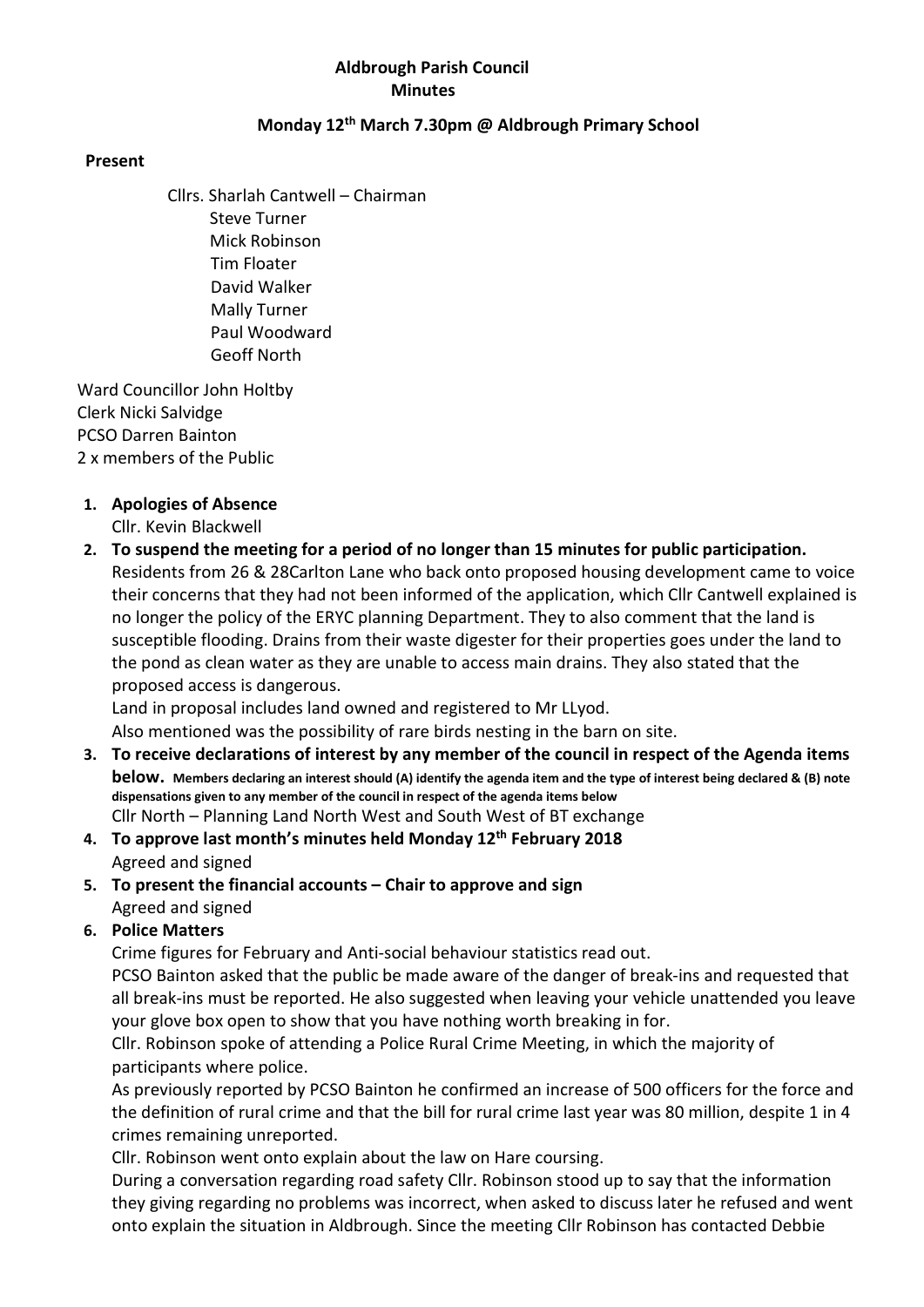# Aldbrough Parish Council **Minutes**

## Monday 12th March 7.30pm @ Aldbrough Primary School

#### Present

Cllrs. Sharlah Cantwell – Chairman Steve Turner Mick Robinson Tim Floater David Walker Mally Turner Paul Woodward Geoff North

 Ward Councillor John Holtby Clerk Nicki Salvidge PCSO Darren Bainton 2 x members of the Public

# 1. Apologies of Absence

Cllr. Kevin Blackwell

2. To suspend the meeting for a period of no longer than 15 minutes for public participation. Residents from 26 & 28Carlton Lane who back onto proposed housing development came to voice their concerns that they had not been informed of the application, which Cllr Cantwell explained is no longer the policy of the ERYC planning Department. They to also comment that the land is susceptible flooding. Drains from their waste digester for their properties goes under the land to the pond as clean water as they are unable to access main drains. They also stated that the proposed access is dangerous.

Land in proposal includes land owned and registered to Mr LLyod.

Also mentioned was the possibility of rare birds nesting in the barn on site.

- 3. To receive declarations of interest by any member of the council in respect of the Agenda items below. Members declaring an interest should (A) identify the agenda item and the type of interest being declared & (B) note dispensations given to any member of the council in respect of the agenda items below Cllr North – Planning Land North West and South West of BT exchange
- 4. To approve last month's minutes held Monday 12<sup>th</sup> February 2018 Agreed and signed
- 5. To present the financial accounts Chair to approve and sign Agreed and signed
- 6. Police Matters

Crime figures for February and Anti-social behaviour statistics read out.

PCSO Bainton asked that the public be made aware of the danger of break-ins and requested that all break-ins must be reported. He also suggested when leaving your vehicle unattended you leave your glove box open to show that you have nothing worth breaking in for.

Cllr. Robinson spoke of attending a Police Rural Crime Meeting, in which the majority of participants where police.

As previously reported by PCSO Bainton he confirmed an increase of 500 officers for the force and the definition of rural crime and that the bill for rural crime last year was 80 million, despite 1 in 4 crimes remaining unreported.

Cllr. Robinson went onto explain about the law on Hare coursing.

During a conversation regarding road safety Cllr. Robinson stood up to say that the information they giving regarding no problems was incorrect, when asked to discuss later he refused and went onto explain the situation in Aldbrough. Since the meeting Cllr Robinson has contacted Debbie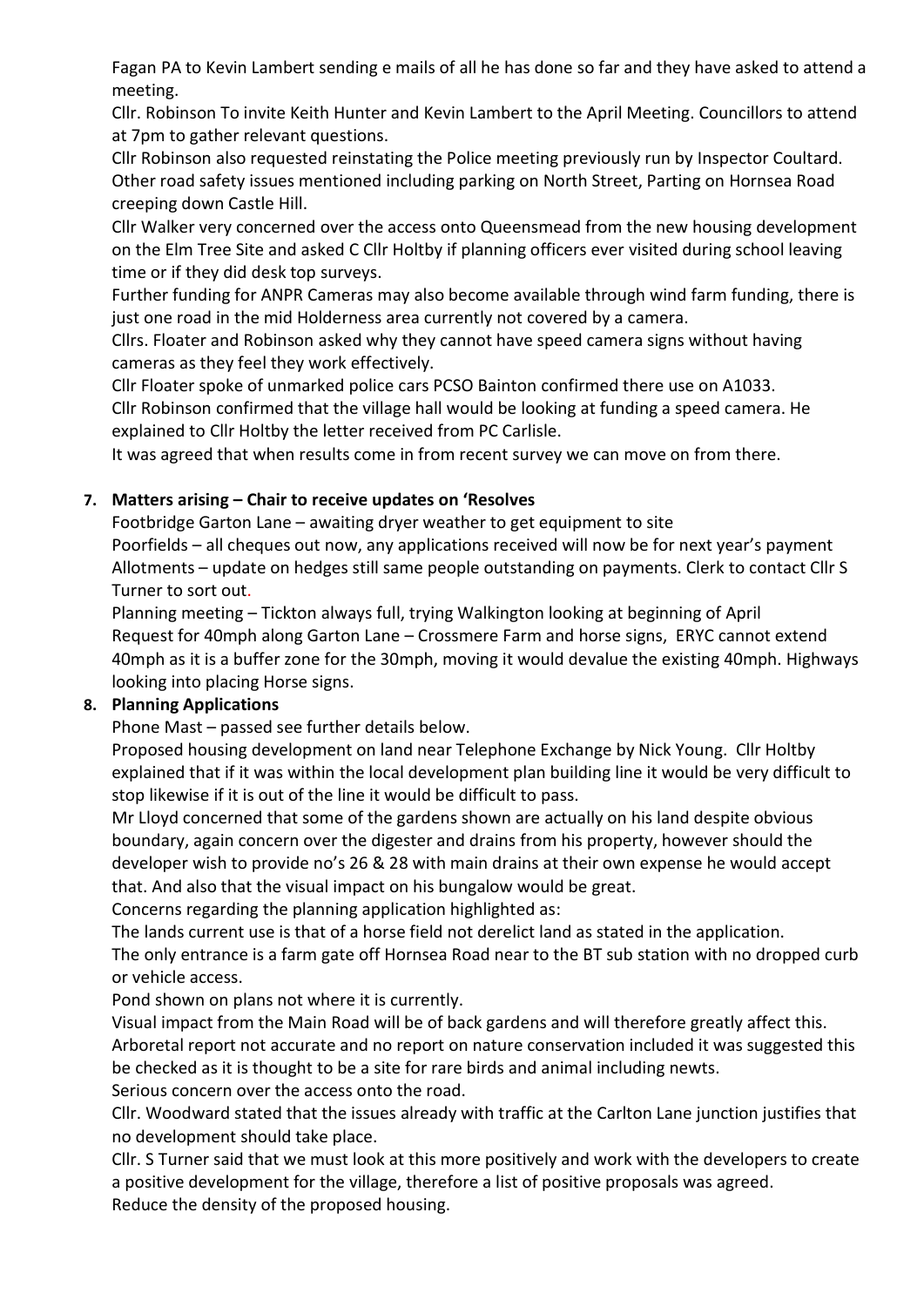Fagan PA to Kevin Lambert sending e mails of all he has done so far and they have asked to attend a meeting.

Cllr. Robinson To invite Keith Hunter and Kevin Lambert to the April Meeting. Councillors to attend at 7pm to gather relevant questions.

Cllr Robinson also requested reinstating the Police meeting previously run by Inspector Coultard. Other road safety issues mentioned including parking on North Street, Parting on Hornsea Road creeping down Castle Hill.

Cllr Walker very concerned over the access onto Queensmead from the new housing development on the Elm Tree Site and asked C Cllr Holtby if planning officers ever visited during school leaving time or if they did desk top surveys.

Further funding for ANPR Cameras may also become available through wind farm funding, there is just one road in the mid Holderness area currently not covered by a camera.

Cllrs. Floater and Robinson asked why they cannot have speed camera signs without having cameras as they feel they work effectively.

Cllr Floater spoke of unmarked police cars PCSO Bainton confirmed there use on A1033. Cllr Robinson confirmed that the village hall would be looking at funding a speed camera. He explained to Cllr Holtby the letter received from PC Carlisle.

It was agreed that when results come in from recent survey we can move on from there.

# 7. Matters arising – Chair to receive updates on 'Resolves

Footbridge Garton Lane – awaiting dryer weather to get equipment to site Poorfields – all cheques out now, any applications received will now be for next year's payment Allotments – update on hedges still same people outstanding on payments. Clerk to contact Cllr S Turner to sort out.

Planning meeting – Tickton always full, trying Walkington looking at beginning of April Request for 40mph along Garton Lane – Crossmere Farm and horse signs, ERYC cannot extend 40mph as it is a buffer zone for the 30mph, moving it would devalue the existing 40mph. Highways looking into placing Horse signs.

# 8. Planning Applications

Phone Mast – passed see further details below.

Proposed housing development on land near Telephone Exchange by Nick Young. Cllr Holtby explained that if it was within the local development plan building line it would be very difficult to stop likewise if it is out of the line it would be difficult to pass.

Mr Lloyd concerned that some of the gardens shown are actually on his land despite obvious boundary, again concern over the digester and drains from his property, however should the developer wish to provide no's 26 & 28 with main drains at their own expense he would accept that. And also that the visual impact on his bungalow would be great.

Concerns regarding the planning application highlighted as:

The lands current use is that of a horse field not derelict land as stated in the application.

The only entrance is a farm gate off Hornsea Road near to the BT sub station with no dropped curb or vehicle access.

Pond shown on plans not where it is currently.

Visual impact from the Main Road will be of back gardens and will therefore greatly affect this. Arboretal report not accurate and no report on nature conservation included it was suggested this be checked as it is thought to be a site for rare birds and animal including newts.

Serious concern over the access onto the road.

Cllr. Woodward stated that the issues already with traffic at the Carlton Lane junction justifies that no development should take place.

Cllr. S Turner said that we must look at this more positively and work with the developers to create a positive development for the village, therefore a list of positive proposals was agreed. Reduce the density of the proposed housing.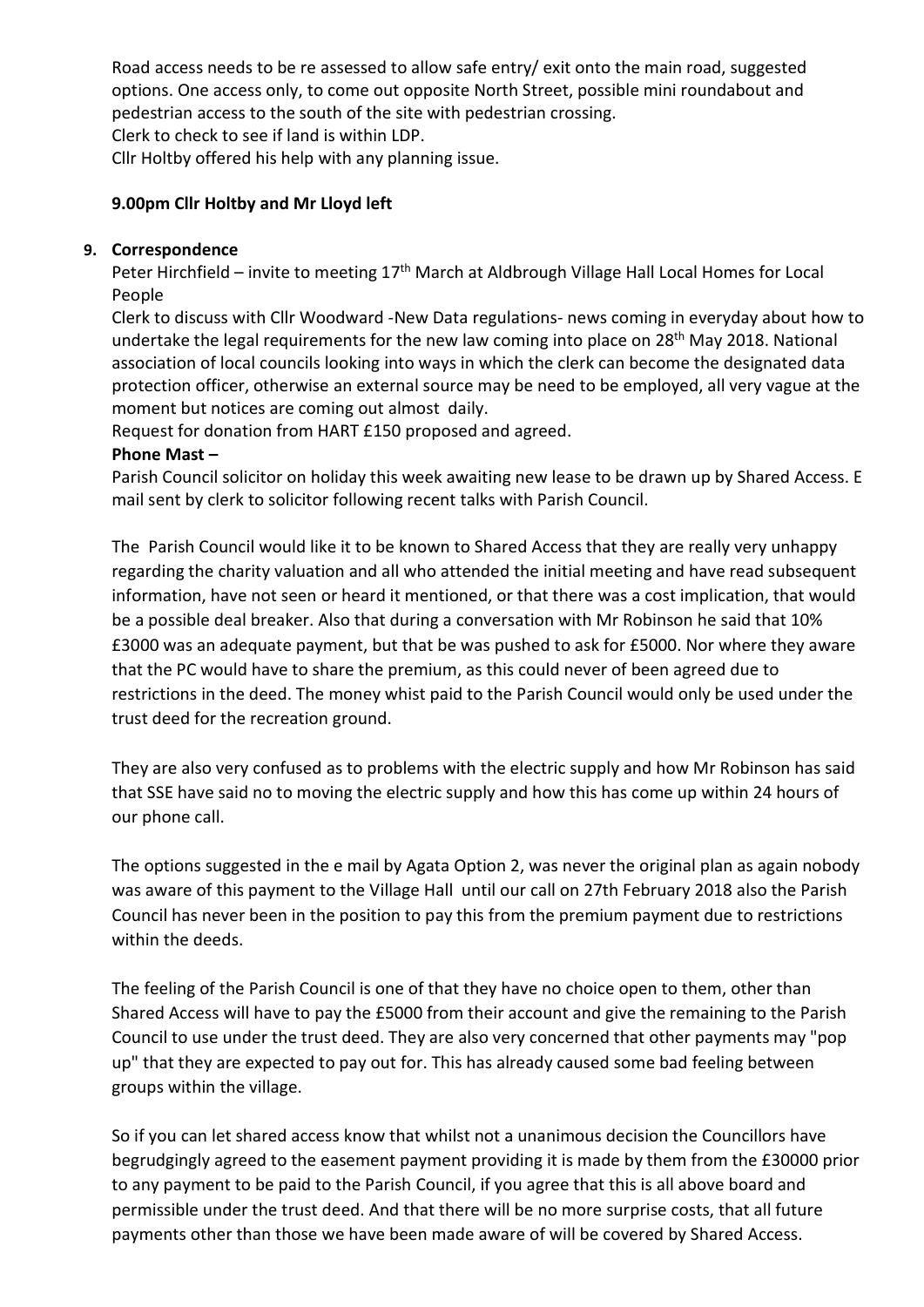Road access needs to be re assessed to allow safe entry/ exit onto the main road, suggested options. One access only, to come out opposite North Street, possible mini roundabout and pedestrian access to the south of the site with pedestrian crossing.

Clerk to check to see if land is within LDP.

Cllr Holtby offered his help with any planning issue.

# 9.00pm Cllr Holtby and Mr Lloyd left

#### 9. Correspondence

Peter Hirchfield – invite to meeting 17<sup>th</sup> March at Aldbrough Village Hall Local Homes for Local People

Clerk to discuss with Cllr Woodward -New Data regulations- news coming in everyday about how to undertake the legal requirements for the new law coming into place on 28<sup>th</sup> May 2018. National association of local councils looking into ways in which the clerk can become the designated data protection officer, otherwise an external source may be need to be employed, all very vague at the moment but notices are coming out almost daily.

Request for donation from HART £150 proposed and agreed.

## Phone Mast –

Parish Council solicitor on holiday this week awaiting new lease to be drawn up by Shared Access. E mail sent by clerk to solicitor following recent talks with Parish Council.

The Parish Council would like it to be known to Shared Access that they are really very unhappy regarding the charity valuation and all who attended the initial meeting and have read subsequent information, have not seen or heard it mentioned, or that there was a cost implication, that would be a possible deal breaker. Also that during a conversation with Mr Robinson he said that 10% £3000 was an adequate payment, but that be was pushed to ask for £5000. Nor where they aware that the PC would have to share the premium, as this could never of been agreed due to restrictions in the deed. The money whist paid to the Parish Council would only be used under the trust deed for the recreation ground.

They are also very confused as to problems with the electric supply and how Mr Robinson has said that SSE have said no to moving the electric supply and how this has come up within 24 hours of our phone call.

The options suggested in the e mail by Agata Option 2, was never the original plan as again nobody was aware of this payment to the Village Hall until our call on 27th February 2018 also the Parish Council has never been in the position to pay this from the premium payment due to restrictions within the deeds.

The feeling of the Parish Council is one of that they have no choice open to them, other than Shared Access will have to pay the £5000 from their account and give the remaining to the Parish Council to use under the trust deed. They are also very concerned that other payments may "pop up" that they are expected to pay out for. This has already caused some bad feeling between groups within the village.

So if you can let shared access know that whilst not a unanimous decision the Councillors have begrudgingly agreed to the easement payment providing it is made by them from the £30000 prior to any payment to be paid to the Parish Council, if you agree that this is all above board and permissible under the trust deed. And that there will be no more surprise costs, that all future payments other than those we have been made aware of will be covered by Shared Access.